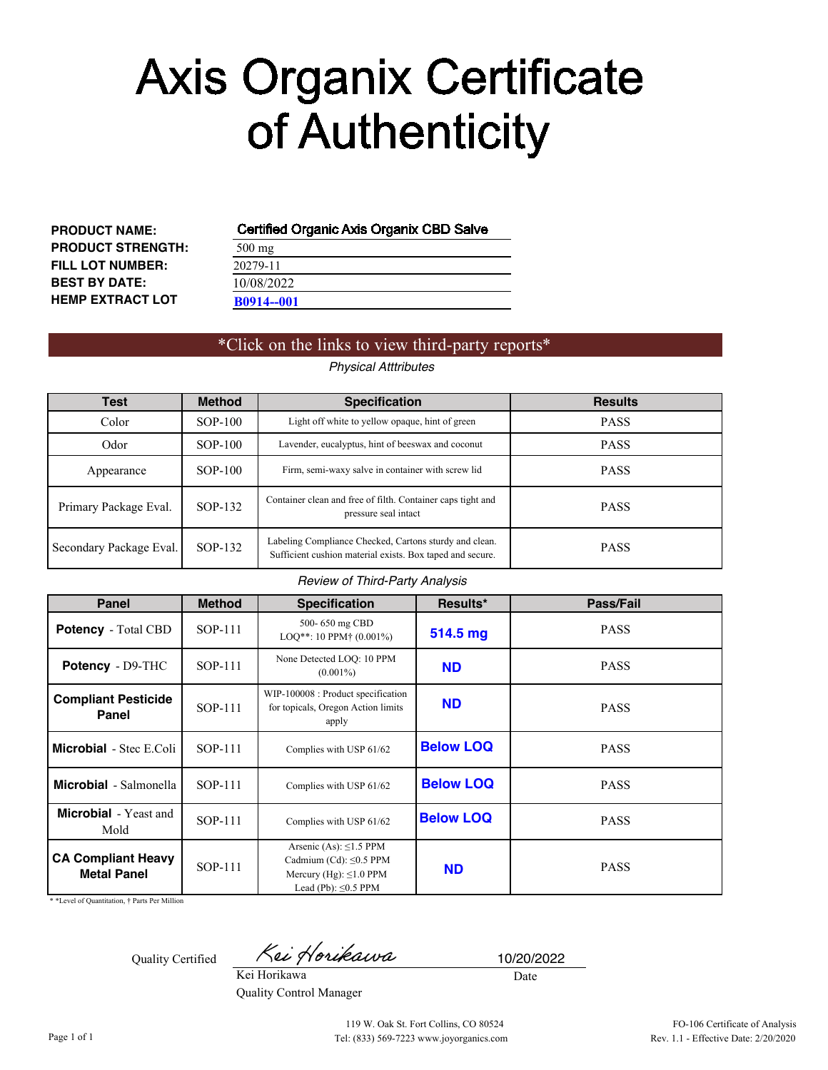# **Axis Organix Certificate** of Authenticity

| <b>PRODUCT NAME:</b>     | Certifi       |
|--------------------------|---------------|
| <b>PRODUCT STRENGTH:</b> | $500$ mg      |
| <b>FILL LOT NUMBER:</b>  | 20279-1       |
| <b>BEST BY DATE:</b>     | 10/08/2       |
| <b>HEMP EXTRACT LOT</b>  | <b>B0914-</b> |

## **Certified Organic Axis Organix CBD Salve**

| $500$ mg          |  |  |
|-------------------|--|--|
| 20279-11          |  |  |
| 10/08/2022        |  |  |
| <b>B0914--001</b> |  |  |

# \*Click on the links to view third-party reports\*

### *Physical Atttributes*

| <b>Test</b>             | <b>Method</b> | <b>Specification</b>                                                                                                | <b>Results</b> |
|-------------------------|---------------|---------------------------------------------------------------------------------------------------------------------|----------------|
| Color                   | SOP-100       | Light off white to yellow opaque, hint of green                                                                     | <b>PASS</b>    |
| Odor                    | $SOP-100$     | Lavender, eucalyptus, hint of beeswax and coconut                                                                   | <b>PASS</b>    |
| Appearance              | SOP-100       | Firm, semi-waxy salve in container with screw lid                                                                   | <b>PASS</b>    |
| Primary Package Eval.   | SOP-132       | Container clean and free of filth. Container caps tight and<br>pressure seal intact                                 | <b>PASS</b>    |
| Secondary Package Eval. | SOP-132       | Labeling Compliance Checked, Cartons sturdy and clean.<br>Sufficient cushion material exists. Box taped and secure. | <b>PASS</b>    |

#### *Review of Third-Party Analysis*

| Panel                                           | <b>Method</b>  | <b>Specification</b>                                                                                                      | Results*         | Pass/Fail   |
|-------------------------------------------------|----------------|---------------------------------------------------------------------------------------------------------------------------|------------------|-------------|
| <b>Potency</b> - Total CBD                      | <b>SOP-111</b> | 500-650 mg CBD<br>$LOO^{**}: 10$ PPM <sup>+</sup> (0.001%)                                                                | 514.5 mg         | <b>PASS</b> |
| Potency - D9-THC                                | SOP-111        | None Detected LOQ: 10 PPM<br><b>ND</b><br>$(0.001\%)$                                                                     |                  | <b>PASS</b> |
| <b>Compliant Pesticide</b><br><b>Panel</b>      | SOP-111        | WIP-100008 : Product specification<br>for topicals, Oregon Action limits<br>apply                                         | <b>ND</b>        | <b>PASS</b> |
| <b>Microbial</b> - Stec E.Coli                  | SOP-111        | Complies with USP 61/62                                                                                                   | <b>Below LOQ</b> | <b>PASS</b> |
| <b>Microbial</b> - Salmonella                   | SOP-111        | Complies with USP 61/62                                                                                                   | <b>Below LOQ</b> | <b>PASS</b> |
| <b>Microbial</b> - Yeast and<br>Mold            | SOP-111        | Complies with USP 61/62                                                                                                   | <b>Below LOQ</b> | <b>PASS</b> |
| <b>CA Compliant Heavy</b><br><b>Metal Panel</b> | SOP-111        | Arsenic (As): $\leq$ 1.5 PPM<br>Cadmium (Cd): $\leq$ 0.5 PPM<br>Mercury (Hg): $\leq 1.0$ PPM<br>Lead (Pb): $\leq 0.5$ PPM | <b>ND</b>        | <b>PASS</b> |

\* \*Level of Quantitation, † Parts Per Million

Quality Certified

Kei Horikawa

Kei Horikawa Quality Control Manager

Date 10/20/2022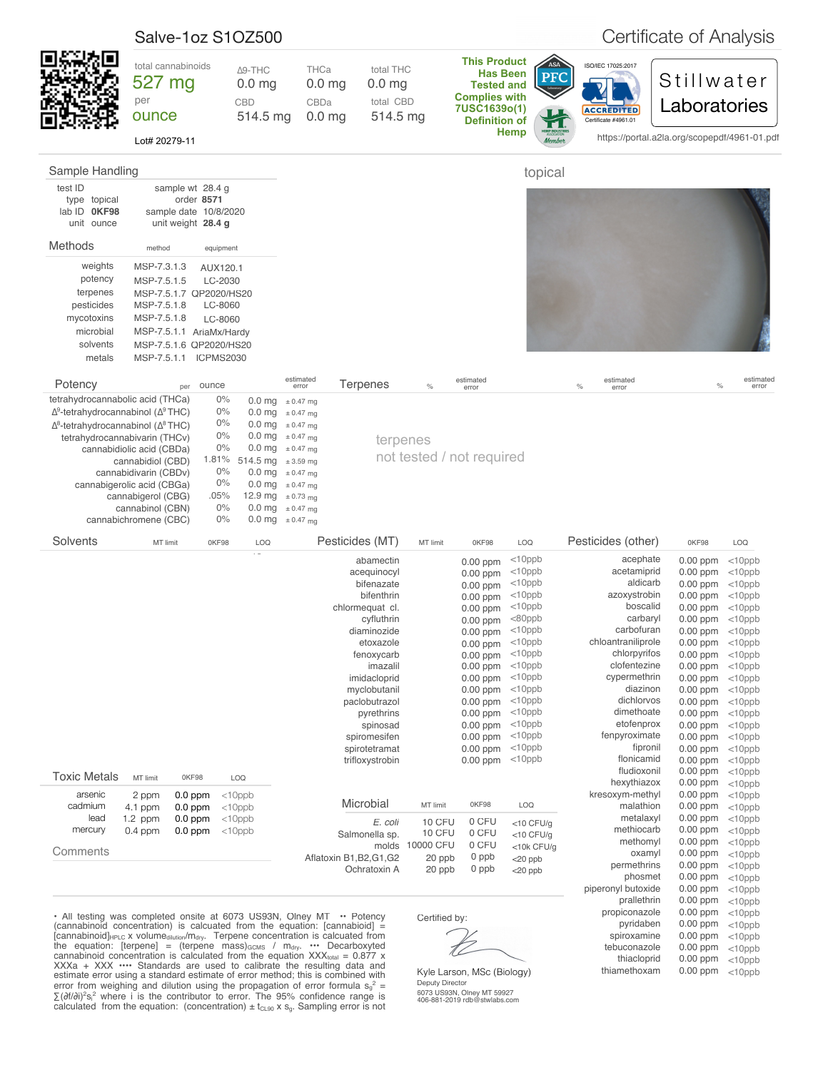<span id="page-1-0"></span>

|                                                                                                                                                                                                                                                                                                                                                                                                                                                                                                                                                                                                                                     | Salve-1oz S1OZ500                                                                                                                                                        |                                                                                 |                                                        |                                                                                                                                                                                                                                                                       |                                                                                                                                                                                                                                                                            |                                                                      |                                                                                                                                                                                                                                                      | Certificate of Analysis                                                                                                                                                                                                                |                                                                                                                                                                                                                                                                  |                                                                                                                                                                                                                                              |                                                                                                                                                                                                                                                          |
|-------------------------------------------------------------------------------------------------------------------------------------------------------------------------------------------------------------------------------------------------------------------------------------------------------------------------------------------------------------------------------------------------------------------------------------------------------------------------------------------------------------------------------------------------------------------------------------------------------------------------------------|--------------------------------------------------------------------------------------------------------------------------------------------------------------------------|---------------------------------------------------------------------------------|--------------------------------------------------------|-----------------------------------------------------------------------------------------------------------------------------------------------------------------------------------------------------------------------------------------------------------------------|----------------------------------------------------------------------------------------------------------------------------------------------------------------------------------------------------------------------------------------------------------------------------|----------------------------------------------------------------------|------------------------------------------------------------------------------------------------------------------------------------------------------------------------------------------------------------------------------------------------------|----------------------------------------------------------------------------------------------------------------------------------------------------------------------------------------------------------------------------------------|------------------------------------------------------------------------------------------------------------------------------------------------------------------------------------------------------------------------------------------------------------------|----------------------------------------------------------------------------------------------------------------------------------------------------------------------------------------------------------------------------------------------|----------------------------------------------------------------------------------------------------------------------------------------------------------------------------------------------------------------------------------------------------------|
|                                                                                                                                                                                                                                                                                                                                                                                                                                                                                                                                                                                                                                     | total cannabinoids<br>527 mg<br>per<br>ounce<br>Lot# 20279-11                                                                                                            |                                                                                 | $\Delta$ 9-THC<br>0.0 <sub>mg</sub><br>CBD<br>514.5 mg | THCa<br>$0.0$ mg<br>CBDa<br>0.0 <sub>mg</sub>                                                                                                                                                                                                                         | total THC<br>0.0 <sub>mg</sub><br>total CBD<br>514.5 mg                                                                                                                                                                                                                    |                                                                      | <b>This Product</b><br><b>Has Been</b><br><b>Tested and</b><br><b>Complies with</b><br>7USC1639o(1)<br><b>Definition of</b>                                                                                                                          | ASA<br><b>PFC</b><br><b>Hemp</b>                                                                                                                                                                                                       | ISO/IEC 17025:2017<br><b>ACCREDITED</b><br>Certificate #4961.01                                                                                                                                                                                                  | Stillwater<br>Laboratories<br>https://portal.a2la.org/scopepdf/4961-01.pdf                                                                                                                                                                   |                                                                                                                                                                                                                                                          |
| Sample Handling                                                                                                                                                                                                                                                                                                                                                                                                                                                                                                                                                                                                                     |                                                                                                                                                                          |                                                                                 |                                                        |                                                                                                                                                                                                                                                                       |                                                                                                                                                                                                                                                                            |                                                                      |                                                                                                                                                                                                                                                      | topical                                                                                                                                                                                                                                |                                                                                                                                                                                                                                                                  |                                                                                                                                                                                                                                              |                                                                                                                                                                                                                                                          |
| test ID<br>type topical<br>lab ID OKF98<br>unit ounce                                                                                                                                                                                                                                                                                                                                                                                                                                                                                                                                                                               | sample date 10/8/2020                                                                                                                                                    | sample wt 28.4 g<br>order 8571<br>unit weight 28.4 g                            |                                                        |                                                                                                                                                                                                                                                                       |                                                                                                                                                                                                                                                                            |                                                                      |                                                                                                                                                                                                                                                      |                                                                                                                                                                                                                                        |                                                                                                                                                                                                                                                                  |                                                                                                                                                                                                                                              |                                                                                                                                                                                                                                                          |
| Methods                                                                                                                                                                                                                                                                                                                                                                                                                                                                                                                                                                                                                             | method                                                                                                                                                                   | equipment                                                                       |                                                        |                                                                                                                                                                                                                                                                       |                                                                                                                                                                                                                                                                            |                                                                      |                                                                                                                                                                                                                                                      |                                                                                                                                                                                                                                        |                                                                                                                                                                                                                                                                  |                                                                                                                                                                                                                                              |                                                                                                                                                                                                                                                          |
| weights<br>potency<br>terpenes<br>pesticides<br>mycotoxins<br>microbial<br>solvents<br>metals                                                                                                                                                                                                                                                                                                                                                                                                                                                                                                                                       | MSP-7.3.1.3<br>MSP-7.5.1.5<br>MSP-7.5.1.7 QP2020/HS20<br>MSP-7.5.1.8<br>MSP-7.5.1.8<br>MSP-7.5.1.1 AriaMx/Hardy<br>MSP-7.5.1.6 QP2020/HS20<br>MSP-7.5.1.1 ICPMS2030      | AUX120.1<br>LC-2030<br>LC-8060<br>LC-8060                                       |                                                        |                                                                                                                                                                                                                                                                       |                                                                                                                                                                                                                                                                            |                                                                      |                                                                                                                                                                                                                                                      |                                                                                                                                                                                                                                        |                                                                                                                                                                                                                                                                  |                                                                                                                                                                                                                                              |                                                                                                                                                                                                                                                          |
| Potency                                                                                                                                                                                                                                                                                                                                                                                                                                                                                                                                                                                                                             | per                                                                                                                                                                      | ounce                                                                           |                                                        | estimated<br>error                                                                                                                                                                                                                                                    | <b>Terpenes</b>                                                                                                                                                                                                                                                            | $\%$                                                                 | estimated<br>error                                                                                                                                                                                                                                   |                                                                                                                                                                                                                                        | estimated<br>$\frac{6}{6}$<br>error                                                                                                                                                                                                                              | $\%$                                                                                                                                                                                                                                         | estimated<br>error                                                                                                                                                                                                                                       |
| tetrahydrocannabolic acid (THCa)<br>$\Delta^9$ -tetrahydrocannabinol ( $\Delta^9$ THC)<br>$\Delta^8$ -tetrahydrocannabinol ( $\Delta^8$ THC)<br>tetrahydrocannabivarin (THCv)                                                                                                                                                                                                                                                                                                                                                                                                                                                       | cannabidiolic acid (CBDa)<br>cannabidiol (CBD)<br>cannabidivarin (CBDv)<br>cannabigerolic acid (CBGa)<br>cannabigerol (CBG)<br>cannabinol (CBN)<br>cannabichromene (CBC) | $0\%$<br>$0\%$<br>$0\%$<br>0%<br>0%<br>1.81%<br>0%<br>0%<br>.05%<br>0%<br>$0\%$ | 514.5 mg $\pm$ 3.59 mg                                 | $0.0$ mg $\pm 0.47$ mg<br>$0.0 \text{ mg}$ $\pm 0.47 \text{ mg}$<br>0.0 mg $\pm$ 0.47 mg<br>0.0 mg $\pm$ 0.47 mg<br>0.0 mg $\pm$ 0.47 mg<br>$0.0$ mg $\pm 0.47$ mg<br>0.0 mg $\pm$ 0.47 mg<br>12.9 mg $\pm$ 0.73 mg<br>$0.0$ mg $\pm 0.47$ mg<br>0.0 mg $\pm$ 0.47 mg | terpenes                                                                                                                                                                                                                                                                   |                                                                      | not tested / not required                                                                                                                                                                                                                            |                                                                                                                                                                                                                                        |                                                                                                                                                                                                                                                                  |                                                                                                                                                                                                                                              |                                                                                                                                                                                                                                                          |
| Solvents                                                                                                                                                                                                                                                                                                                                                                                                                                                                                                                                                                                                                            | MT limit                                                                                                                                                                 | 0KF98                                                                           | <b>LOQ</b>                                             |                                                                                                                                                                                                                                                                       | Pesticides (MT)                                                                                                                                                                                                                                                            | MT limit                                                             | 0KF98                                                                                                                                                                                                                                                | LOQ                                                                                                                                                                                                                                    | Pesticides (other)                                                                                                                                                                                                                                               | 0KF98                                                                                                                                                                                                                                        | LOQ                                                                                                                                                                                                                                                      |
|                                                                                                                                                                                                                                                                                                                                                                                                                                                                                                                                                                                                                                     |                                                                                                                                                                          |                                                                                 |                                                        |                                                                                                                                                                                                                                                                       | abamectin<br>acequinocyl<br>bifenazate<br>bifenthrin<br>chlormequat cl.<br>cyfluthrin<br>diaminozide<br>etoxazole<br>fenoxycarb<br>imazalil<br>imidacloprid<br>myclobutanil<br>paclobutrazol<br>pyrethrins<br>spinosad<br>spiromesifen<br>spirotetramat<br>trifloxystrobin |                                                                      | $0.00$ ppm<br>$0.00$ ppm<br>0.00 ppm<br>$0.00$ ppm<br>$0.00$ ppm<br>0.00 ppm<br>$0.00$ ppm<br>$0.00$ ppm<br>$0.00$ ppm<br>$0.00$ ppm<br>$0.00$ ppm<br>$0.00$ ppm<br>$0.00$ ppm<br>$0.00$ ppm<br>$0.00$ ppm<br>$0.00$ ppm<br>$0.00$ ppm<br>$0.00$ ppm | $<$ 10ppb<br>$<$ 10ppb<br>$<$ 10ppb<br>$<$ 10ppb<br>$<$ 10ppb<br>$<$ 80ppb<br>$<$ 10ppb<br>$<$ 10ppb<br>$<$ 10ppb<br>$<$ 10ppb<br>$<$ 10ppb<br>$<$ 10ppb<br>$<$ 10ppb<br>$<$ 10ppb<br>$<$ 10ppb<br>$<$ 10ppb<br>$<$ 10ppb<br>$<$ 10ppb | acephate<br>acetamiprid<br>aldicarb<br>azoxystrobin<br>boscalid<br>carbaryl<br>carbofuran<br>chloantraniliprole<br>chlorpyrifos<br>clofentezine<br>cypermethrin<br>diazinon<br>dichlorvos<br>dimethoate<br>etofenprox<br>fenpyroximate<br>fipronil<br>flonicamid | $0.00$ ppm<br>$0.00$ ppm<br>$0.00$ ppm<br>0.00 ppm<br>0.00 ppm<br>$0.00$ ppm<br>0.00 ppm<br>$0.00$ ppm<br>$0.00$ ppm<br>$0.00$ ppm<br>0.00 ppm<br>$0.00$ ppm<br>$0.00$ ppm<br>$0.00$ ppm<br>$0.00$ ppm<br>0.00 ppm<br>0.00 ppm<br>$0.00$ ppm | $<$ 10ppb<br>$<$ 10ppb<br>$<$ 10ppb<br>$<$ 10 $ppb$<br>$<$ 10ppb<br>$<$ 10ppb<br>$<$ 10 $ppb$<br>$<$ 10ppb<br>$<$ 10 $ppb$<br>$<$ 10 $ppb$<br>$<$ 10ppb<br>$<$ 10 $ppb$<br>$<$ 10ppb<br>$<$ 10ppb<br>$<$ 10 $ppb$<br>$<$ 10ppb<br>$<$ 10ppb<br>$<$ 10ppb |
| <b>Toxic Metals</b>                                                                                                                                                                                                                                                                                                                                                                                                                                                                                                                                                                                                                 | MT limit                                                                                                                                                                 | 0KF98                                                                           | LOQ                                                    |                                                                                                                                                                                                                                                                       |                                                                                                                                                                                                                                                                            |                                                                      |                                                                                                                                                                                                                                                      |                                                                                                                                                                                                                                        | fludioxonil<br>hexythiazox                                                                                                                                                                                                                                       | $0.00$ ppm<br>$0.00$ ppm                                                                                                                                                                                                                     | $<$ 10ppb<br>$<$ 10ppb                                                                                                                                                                                                                                   |
| arsenic<br>cadmium<br>lead<br>mercury<br>Comments                                                                                                                                                                                                                                                                                                                                                                                                                                                                                                                                                                                   | 2 ppm<br>4.1 ppm<br>$1.2$ ppm<br>$0.4$ ppm                                                                                                                               | $0.0$ ppm<br>$0.0$ ppm<br>$0.0$ ppm<br>$0.0$ ppm                                | $<$ 10ppb<br>$<$ 10ppb<br>$<$ 10ppb<br>$<$ 10ppb       |                                                                                                                                                                                                                                                                       | Microbial<br>E. coli<br>Salmonella sp.<br>molds<br>Aflatoxin B1, B2, G1, G2<br>Ochratoxin A                                                                                                                                                                                | MT limit<br><b>10 CFU</b><br>10 CFU<br>10000 CFU<br>20 ppb<br>20 ppb | 0KF98<br>0 CFU<br>0 CFU<br>0 CFU<br>0 ppb<br>0 ppb                                                                                                                                                                                                   | LOQ<br>$<$ 10 CFU/g<br>$<$ 10 CFU/g<br><10k CFU/g<br>$<$ 20 ppb<br>$<$ 20 ppb                                                                                                                                                          | kresoxym-methyl<br>malathion<br>metalaxyl<br>methiocarb<br>methomyl<br>oxamyl<br>permethrins<br>phosmet                                                                                                                                                          | $0.00$ ppm<br>$0.00$ ppm<br>$0.00$ ppm<br>$0.00$ ppm<br>$0.00$ ppm<br>$0.00$ ppm<br>$0.00$ ppm<br>$0.00$ ppm                                                                                                                                 | $<$ 10ppb<br>$<$ 10ppb<br>$<$ 10ppb<br>$<$ 10ppb<br>$<$ 10ppb<br>$<$ 10ppb<br>$<$ 10ppb<br>$<$ 10ppb                                                                                                                                                     |
| • All testing was completed onsite at 6073 US93N, Olney MT $\cdot \cdot$ Potency<br>(cannabinoid concentration) is calcuated from the equation: $[canonical] =$<br>[cannabinoid] <sub>HPLC</sub> x volume <sub>dilution</sub> /m <sub>dry</sub> . Terpene concentration is calcuated from<br>the equation: [terpene] = (terpene mass) $_{GCMS}$ / $m_{div}$ $\cdots$ Decarboxyted<br>cannabinoid concentration is calculated from the equation $XXXtotal = 0.877$ x<br>$XXX + XXX \cdots$ Standards are used to calibrate the resulting data and<br>estimate error using a standard estimate of error method; this is combined with |                                                                                                                                                                          |                                                                                 |                                                        |                                                                                                                                                                                                                                                                       |                                                                                                                                                                                                                                                                            | Certified by:                                                        | Kyle Larson, MSc (Biology)                                                                                                                                                                                                                           |                                                                                                                                                                                                                                        | piperonyl butoxide<br>prallethrin<br>propiconazole<br>pyridaben<br>spiroxamine<br>tebuconazole<br>thiacloprid<br>thiamethoxam                                                                                                                                    | 0.00 ppm<br>$0.00$ ppm<br>$0.00$ ppm<br>$0.00$ ppm<br>$0.00$ ppm<br>$0.00$ ppm<br>0.00 ppm<br>$0.00$ ppm                                                                                                                                     | $<$ 10ppb<br>$<$ 10ppb<br>$<$ 10ppb<br>$<$ 10ppb<br>$<$ 10ppb<br>$<$ 10ppb<br>$<$ 10ppb<br>$<$ 10ppb                                                                                                                                                     |

Kyle Larson, MSc (Biology) Deputy Director

6073 US93N, Olney MT 59927 406-881-2019 rdb@stwlabs.com

error from weighing and dilution using the propagation of error formula  $s_g^2$  = ∑(∂f/∂i)<sup>2</sup>s<sub>i</sub><sup>2</sup> where i is the contributor to error. The 95% confidence range is calculated from the equation: (concentration)  $\pm$  t<sub>CL90</sub> x s<sub>g</sub>. Sampling error is not